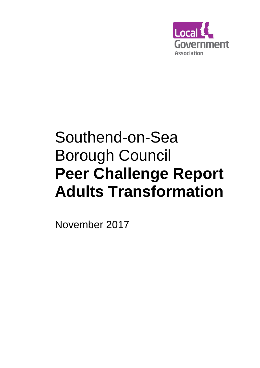

# Southend-on-Sea Borough Council **Peer Challenge Report Adults Transformation**

November 2017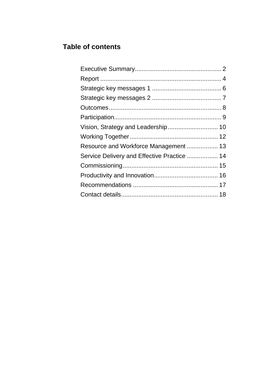# **Table of contents**

| Resource and Workforce Management 13        |  |
|---------------------------------------------|--|
| Service Delivery and Effective Practice  14 |  |
|                                             |  |
|                                             |  |
|                                             |  |
|                                             |  |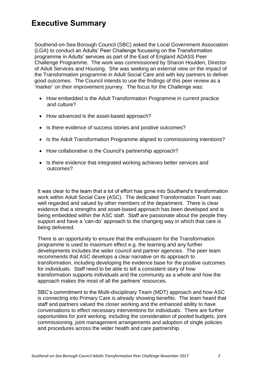# **Executive Summary**

Southend-on-Sea Borough Council (SBC) asked the Local Government Association (LGA) to conduct an Adults' Peer Challenge focussing on the Transformation programme in Adults' services as part of the East of England ADASS Peer Challenge Programme. The work was commissioned by Sharon Houlden, Director of Adult Services and Housing. She was seeking an external view on the impact of the Transformation programme in Adult Social Care and with key partners to deliver good outcomes. The Council intends to use the findings of this peer review as a 'marker' on their improvement journey. The focus for the Challenge was:

- How embedded is the Adult Transformation Programme in current practice and culture?
- How advanced is the asset-based approach?
- Is there evidence of success stories and positive outcomes?
- Is the Adult Transformation Programme aligned to commissioning intentions?
- How collaborative is the Council's partnership approach?
- Is there evidence that integrated working achieves better services and outcomes?

It was clear to the team that a lot of effort has gone into Southend's transformation work within Adult Social Care (ASC). The dedicated Transformation Team was well regarded and valued by other members of the department. There is clear evidence that a strengths and asset-based approach has been developed and is being embedded within the ASC staff. Staff are passionate about the people they support and have a 'can-do' approach to the changing way in which that care is being delivered.

There is an opportunity to ensure that the enthusiasm for the Transformation programme is used to maximum effect e.g. the learning and any further developments includes the wider council and partner agencies. The peer team recommends that ASC develops a clear narrative on its approach to transformation, including developing the evidence base for the positive outcomes for individuals. Staff need to be able to tell a consistent story of how transformation supports individuals and the community as a whole and how the approach makes the most of all the partners' resources.

SBC's commitment to the Multi-disciplinary Team (MDT) approach and how ASC is connecting into Primary Care is already showing benefits. The team heard that staff and partners valued the closer working and the enhanced ability to have conversations to effect necessary interventions for individuals. There are further opportunities for joint working, including the consideration of pooled budgets, joint commissioning, joint management arrangements and adoption of single policies and procedures across the wider health and care partnership.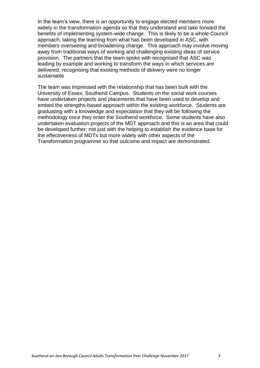In the team's view, there is an opportunity to engage elected members more widely in the transformation agenda so that they understand and take forward the benefits of implementing system-wide change. This is likely to be a whole Council approach, taking the learning from what has been developed in ASC, with members overseeing and broadening change. This approach may involve moving away from traditional ways of working and challenging existing ideas of service provision. The partners that the team spoke with recognised that ASC was leading by example and working to transform the ways in which services are delivered; recognising that existing methods of delivery were no longer sustainable

The team was impressed with the relationship that has been built with the University of Essex, Southend Campus. Students on the social work courses have undertaken projects and placements that have been used to develop and embed the strengths-based approach within the existing workforce. Students are graduating with a knowledge and expectation that they will be following the methodology once they enter the Southend workforce. Some students have also undertaken evaluation projects of the MDT approach and this is an area that could be developed further; not just with the helping to establish the evidence base for the effectiveness of MDTs but more widely with other aspects of the Transformation programme so that outcome and impact are demonstrated.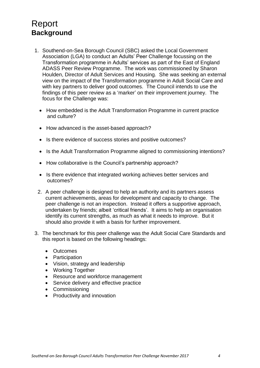# <span id="page-4-0"></span>Report **Background**

- 1. Southend-on-Sea Borough Council (SBC) asked the Local Government Association (LGA) to conduct an Adults' Peer Challenge focussing on the Transformation programme in Adults' services as part of the East of England ADASS Peer Review Programme. The work was commissioned by Sharon Houlden, Director of Adult Services and Housing. She was seeking an external view on the impact of the Transformation programme in Adult Social Care and with key partners to deliver good outcomes. The Council intends to use the findings of this peer review as a 'marker' on their improvement journey. The focus for the Challenge was:
	- How embedded is the Adult Transformation Programme in current practice and culture?
	- How advanced is the asset-based approach?
	- Is there evidence of success stories and positive outcomes?
	- Is the Adult Transformation Programme aligned to commissioning intentions?
	- How collaborative is the Council's partnership approach?
	- Is there evidence that integrated working achieves better services and outcomes?
	- 2. A peer challenge is designed to help an authority and its partners assess current achievements, areas for development and capacity to change. The peer challenge is not an inspection. Instead it offers a supportive approach, undertaken by friends; albeit 'critical friends'. It aims to help an organisation identify its current strengths, as much as what it needs to improve. But it should also provide it with a basis for further improvement.
- 3. The benchmark for this peer challenge was the Adult Social Care Standards and this report is based on the following headings:
	- Outcomes
	- Participation
	- Vision, strategy and leadership
	- Working Together
	- Resource and workforce management
	- Service delivery and effective practice
	- Commissioning
	- Productivity and innovation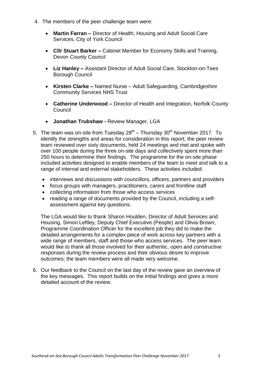- 4. The members of the peer challenge team were:
	- **Martin Farran –** Director of Health, Housing and Adult Social Care Services, City of York Council
	- **Cllr Stuart Barker –** Cabinet Member for Economy Skills and Training, Devon County Council
	- **Liz Hanley –** Assistant Director of Adult Social Care, Stockton-on-Tees Borough Council
	- **Kirsten Clarke –** Named Nurse Adult Safeguarding, Cambridgeshire Community Services NHS Trust
	- **Catherine Underwood –** Director of Health and Integration, Norfolk County Council
	- **Jonathan Trubshaw -** Review Manager, LGA
- 5. The team was on-site from Tuesday  $28<sup>th</sup>$  Thursday  $30<sup>th</sup>$  November 2017. To identify the strengths and areas for consideration in this report, the peer review team reviewed over sixty documents, held 24 meetings and met and spoke with over 100 people during the three on-site days and collectively spent more than 250 hours to determine their findings. The programme for the on-site phase included activities designed to enable members of the team to meet and talk to a range of internal and external stakeholders. These activities included:
	- interviews and discussions with councillors, officers, partners and providers
	- focus groups with managers, practitioners, carers and frontline staff
	- collecting information from those who access services
	- reading a range of documents provided by the Council, including a selfassessment against key questions.

The LGA would like to thank Sharon Houlden, Director of Adult Services and Housing, Simon Leftley, Deputy Chief Executive (People) and Olivia Brown, Programme Coordination Officer for the excellent job they did to make the detailed arrangements for a complex piece of work across key partners with a wide range of members, staff and those who access services. The peer team would like to thank all those involved for their authentic, open and constructive responses during the review process and their obvious desire to improve outcomes; the team members were all made very welcome.

6. Our feedback to the Council on the last day of the review gave an overview of the key messages. This report builds on the initial findings and gives a more detailed account of the review.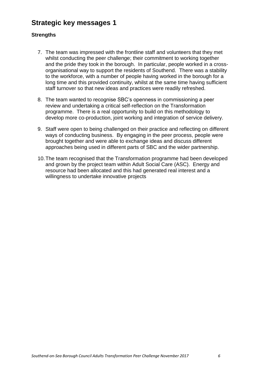#### **Strategic key messages 1**

#### **Strengths**

- 7. The team was impressed with the frontline staff and volunteers that they met whilst conducting the peer challenge; their commitment to working together and the pride they took in the borough. In particular, people worked in a crossorganisational way to support the residents of Southend. There was a stability to the workforce, with a number of people having worked in the borough for a long time and this provided continuity, whilst at the same time having sufficient staff turnover so that new ideas and practices were readily refreshed.
- 8. The team wanted to recognise SBC's openness in commissioning a peer review and undertaking a critical self-reflection on the Transformation programme. There is a real opportunity to build on this methodology to develop more co-production, joint working and integration of service delivery.
- 9. Staff were open to being challenged on their practice and reflecting on different ways of conducting business. By engaging in the peer process, people were brought together and were able to exchange ideas and discuss different approaches being used in different parts of SBC and the wider partnership.
- 10.The team recognised that the Transformation programme had been developed and grown by the project team within Adult Social Care (ASC). Energy and resource had been allocated and this had generated real interest and a willingness to undertake innovative projects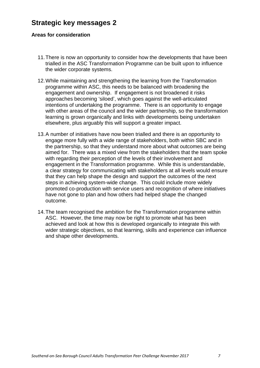#### **Strategic key messages 2**

#### **Areas for consideration**

- 11.There is now an opportunity to consider how the developments that have been trialled in the ASC Transformation Programme can be built upon to influence the wider corporate systems.
- 12.While maintaining and strengthening the learning from the Transformation programme within ASC, this needs to be balanced with broadening the engagement and ownership. If engagement is not broadened it risks approaches becoming 'siloed', which goes against the well-articulated intentions of undertaking the programme. There is an opportunity to engage with other areas of the council and the wider partnership, so the transformation learning is grown organically and links with developments being undertaken elsewhere, plus arguably this will support a greater impact.
- 13.A number of initiatives have now been trialled and there is an opportunity to engage more fully with a wide range of stakeholders, both within SBC and in the partnership, so that they understand more about what outcomes are being aimed for. There was a mixed view from the stakeholders that the team spoke with regarding their perception of the levels of their involvement and engagement in the Transformation programme. While this is understandable, a clear strategy for communicating with stakeholders at all levels would ensure that they can help shape the design and support the outcomes of the next steps in achieving system-wide change. This could include more widely promoted co-production with service users and recognition of where initiatives have not gone to plan and how others had helped shape the changed outcome.
- 14.The team recognised the ambition for the Transformation programme within ASC. However, the time may now be right to promote what has been achieved and look at how this is developed organically to integrate this with wider strategic objectives, so that learning, skills and experience can influence and shape other developments.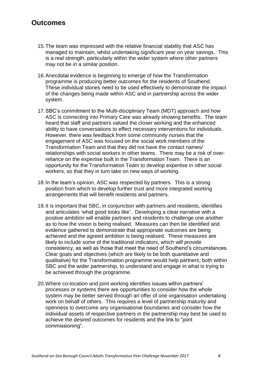#### **Outcomes**

- 15.The team was impressed with the relative financial stability that ASC has managed to maintain, whilst undertaking significant year on year savings. This is a real strength, particularly within the wider system where other partners may not be in a similar position.
- 16.Anecdotal evidence is beginning to emerge of how the Transformation programme is producing better outcomes for the residents of Southend. These individual stories need to be used effectively to demonstrate the impact of the changes being made within ASC and in partnership across the wider system.
- 17.SBC's commitment to the Multi-disciplinary Team (MDT) approach and how ASC is connecting into Primary Care was already showing benefits. The team heard that staff and partners valued the closer working and the enhanced ability to have conversations to effect necessary interventions for individuals. However, there was feedback from some community nurses that the engagement of ASC was focused on the social work members of the Transformation Team and that they did not have the contact names/ relationships with social workers in other teams. There may be a risk of overreliance on the expertise built in the Transformation Team. There is an opportunity for the Transformation Team to develop expertise in other social workers, so that they in turn take on new ways of working.
- 18.In the team's opinion, ASC was respected by partners. This is a strong position from which to develop further trust and more integrated working arrangements that will benefit residents and partners.
- 19.It is important that SBC, in conjunction with partners and residents, identifies and articulates 'what good looks like'. Developing a clear narrative with a positive ambition will enable partners and residents to challenge one another as to how the vision is being realised. Measures can then be identified and evidence gathered to demonstrate that appropriate outcomes are being achieved and the agreed ambition is being realised. These measures are likely to include some of the traditional indicators, which will provide consistency, as well as those that meet the need of Southend's circumstances. Clear goals and objectives (which are likely to be both quantitative and qualitative) for the Transformation programme would help partners, both within SBC and the wider partnership, to understand and engage in what is trying to be achieved through the programme.
- 20.Where co-location and joint working identifies issues within partners' processes or systems there are opportunities to consider how the whole system may be better served through an offer of one organisation undertaking work on behalf of others. This requires a level of partnership maturity and openness to overcome any organisational boundaries and consider how the individual assets of respective partners in the partnership may best be used to achieve the desired outcomes for residents and the link to "joint commissioning".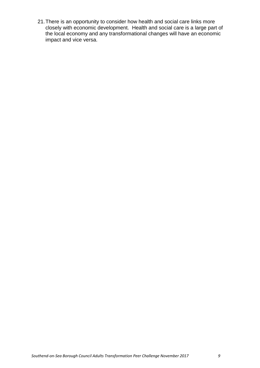21.There is an opportunity to consider how health and social care links more closely with economic development. Health and social care is a large part of the local economy and any transformational changes will have an economic impact and vice versa.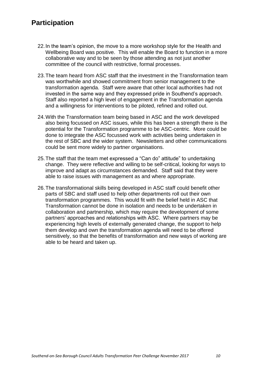#### **Participation**

- 22.In the team's opinion, the move to a more workshop style for the Health and Wellbeing Board was positive. This will enable the Board to function in a more collaborative way and to be seen by those attending as not just another committee of the council with restrictive, formal processes.
- 23.The team heard from ASC staff that the investment in the Transformation team was worthwhile and showed commitment from senior management to the transformation agenda. Staff were aware that other local authorities had not invested in the same way and they expressed pride in Southend's approach. Staff also reported a high level of engagement in the Transformation agenda and a willingness for interventions to be piloted, refined and rolled out.
- 24.With the Transformation team being based in ASC and the work developed also being focussed on ASC issues, while this has been a strength there is the potential for the Transformation programme to be ASC-centric. More could be done to integrate the ASC focussed work with activities being undertaken in the rest of SBC and the wider system. Newsletters and other communications could be sent more widely to partner organisations.
- 25.The staff that the team met expressed a "Can do" attitude" to undertaking change. They were reflective and willing to be self-critical, looking for ways to improve and adapt as circumstances demanded. Staff said that they were able to raise issues with management as and where appropriate.
- 26.The transformational skills being developed in ASC staff could benefit other parts of SBC and staff used to help other departments roll out their own transformation programmes. This would fit with the belief held in ASC that Transformation cannot be done in isolation and needs to be undertaken in collaboration and partnership, which may require the development of some partners' approaches and relationships with ASC. Where partners may be experiencing high levels of externally generated change, the support to help them develop and own the transformation agenda will need to be offered sensitively, so that the benefits of transformation and new ways of working are able to be heard and taken up.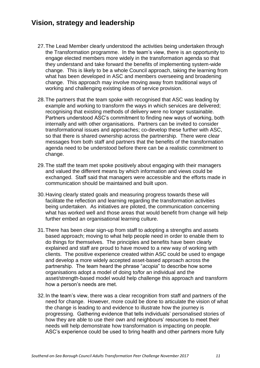#### **Vision, strategy and leadership**

- 27.The Lead Member clearly understood the activities being undertaken through the Transformation programme. In the team's view, there is an opportunity to engage elected members more widely in the transformation agenda so that they understand and take forward the benefits of implementing system-wide change. This is likely to be a whole Council approach, taking the learning from what has been developed in ASC and members overseeing and broadening change. This approach may involve moving away from traditional ways of working and challenging existing ideas of service provision.
- 28.The partners that the team spoke with recognised that ASC was leading by example and working to transform the ways in which services are delivered; recognising that existing methods of delivery were no longer sustainable. Partners understood ASC's commitment to finding new ways of working, both internally and with other organisations. Partners can be invited to consider transformational issues and approaches; co-develop these further with ASC, so that there is shared ownership across the partnership. There were clear messages from both staff and partners that the benefits of the transformation agenda need to be understood before there can be a realistic commitment to change.
- 29.The staff the team met spoke positively about engaging with their managers and valued the different means by which information and views could be exchanged. Staff said that managers were accessible and the efforts made in communication should be maintained and built upon.
- 30.Having clearly stated goals and measuring progress towards these will facilitate the reflection and learning regarding the transformation activities being undertaken. As initiatives are piloted, the communication concerning what has worked well and those areas that would benefit from change will help further embed an organisational learning culture.
- 31.There has been clear sign-up from staff to adopting a strengths and assets based approach; moving to what help people need in order to enable them to do things for themselves. The principles and benefits have been clearly explained and staff are proud to have moved to a new way of working with clients. The positive experience created within ASC could be used to engage and develop a more widely accepted asset-based approach across the partnership. The team heard the phrase "*acopia*" to describe how some organisations adopt a model of doing to/for an individual and the asset/strength-based model would help challenge this approach and transform how a person's needs are met.
- 32.In the team's view, there was a clear recognition from staff and partners of the need for change. However, more could be done to articulate the vision of what the change is leading to and evidence to illustrate how the journey is progressing. Gathering evidence that tells individuals' personalised stories of how they are able to use their own and neighbours' resources to meet their needs will help demonstrate how transformation is impacting on people. ASC's experience could be used to bring health and other partners more fully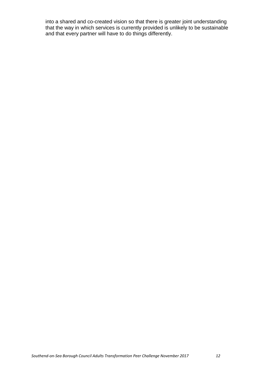into a shared and co-created vision so that there is greater joint understanding that the way in which services is currently provided is unlikely to be sustainable and that every partner will have to do things differently.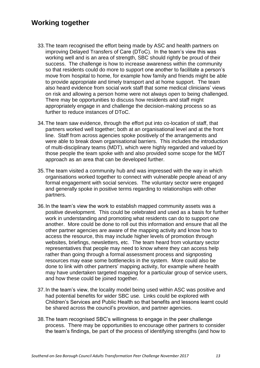#### **Working together**

- 33.The team recognised the effort being made by ASC and health partners on improving Delayed Transfers of Care (DToC). In the team's view this was working well and is an area of strength, SBC should rightly be proud of their success. The challenge is how to increase awareness within the community so that residents could do more to support one another to facilitate a person's move from hospital to home, for example how family and friends might be able to provide appropriate and timely transport and at home support. The team also heard evidence from social work staff that some medical clinicians' views on risk and allowing a person home were not always open to being challenged. There may be opportunities to discuss how residents and staff might appropriately engage in and challenge the decision-making process so as further to reduce instances of DToC.
- 34.The team saw evidence, through the effort put into co-location of staff, that partners worked well together; both at an organisational level and at the front line. Staff from across agencies spoke positively of the arrangements and were able to break down organisational barriers. This includes the introduction of multi-disciplinary teams (MDT), which were highly regarded and valued by those people the team spoke with and also provided some scope for the MDT approach as an area that can be developed further.
- 35.The team visited a community hub and was impressed with the way in which organisations worked together to connect with vulnerable people ahead of any formal engagement with social services. The voluntary sector were engaged and generally spoke in positive terms regarding to relationships with other partners.
- 36.In the team's view the work to establish mapped community assets was a positive development. This could be celebrated and used as a basis for further work in understanding and promoting what residents can do to support one another. More could be done to roll out this information and ensure that all the other partner agencies are aware of the mapping activity and know how to access the resource, this may include higher levels of promotion through websites, briefings, newsletters, etc. The team heard from voluntary sector representatives that people may need to know where they can access help rather than going through a formal assessment process and signposting resources may ease some bottlenecks in the system. More could also be done to link with other partners' mapping activity, for example where health may have undertaken targeted mapping for a particular group of service users, and how these could be joined together.
- 37.In the team's view, the locality model being used within ASC was positive and had potential benefits for wider SBC use. Links could be explored with Children's Services and Public Health so that benefits and lessons learnt could be shared across the council's provision, and partner agencies.
- 38.The team recognised SBC's willingness to engage in the peer challenge process. There may be opportunities to encourage other partners to consider the team's findings, be part of the process of identifying strengths (and how to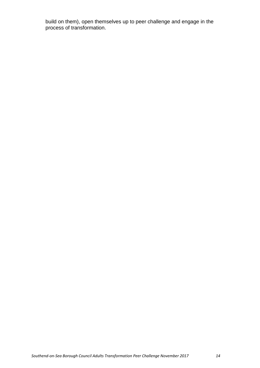build on them), open themselves up to peer challenge and engage in the process of transformation.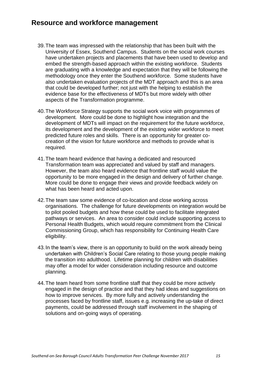#### **Resource and workforce management**

- 39.The team was impressed with the relationship that has been built with the University of Essex, Southend Campus. Students on the social work courses have undertaken projects and placements that have been used to develop and embed the strength-based approach within the existing workforce. Students are graduating with a knowledge and expectation that they will be following the methodology once they enter the Southend workforce. Some students have also undertaken evaluation projects of the MDT approach and this is an area that could be developed further; not just with the helping to establish the evidence base for the effectiveness of MDTs but more widely with other aspects of the Transformation programme.
- 40.The Workforce Strategy supports the social work voice with programmes of development. More could be done to highlight how integration and the development of MDTs will impact on the requirement for the future workforce, its development and the development of the existing wider workforce to meet predicted future roles and skills. There is an opportunity for greater cocreation of the vision for future workforce and methods to provide what is required.
- 41.The team heard evidence that having a dedicated and resourced Transformation team was appreciated and valued by staff and managers. However, the team also heard evidence that frontline staff would value the opportunity to be more engaged in the design and delivery of further change. More could be done to engage their views and provide feedback widely on what has been heard and acted upon.
- 42.The team saw some evidence of co-location and close working across organisations. The challenge for future developments on integration would be to pilot pooled budgets and how these could be used to facilitate integrated pathways or services. An area to consider could include supporting access to Personal Health Budgets, which would require commitment from the Clinical Commissioning Group, which has responsibility for Continuing Health Care eligibility.
- 43.In the team's view, there is an opportunity to build on the work already being undertaken with Children's Social Care relating to those young people making the transition into adulthood. Lifetime planning for children with disabilities may offer a model for wider consideration including resource and outcome planning.
- 44.The team heard from some frontline staff that they could be more actively engaged in the design of practice and that they had ideas and suggestions on how to improve services. By more fully and actively understanding the processes faced by frontline staff, issues e.g. increasing the up-take of direct payments, could be addressed through staff involvement in the shaping of solutions and on-going ways of operating.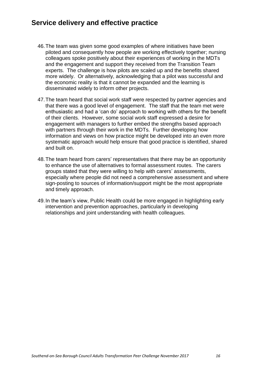#### **Service delivery and effective practice**

- 46.The team was given some good examples of where initiatives have been piloted and consequently how people are working effectively together; nursing colleagues spoke positively about their experiences of working in the MDTs and the engagement and support they received from the Transition Team experts. The challenge is how pilots are scaled up and the benefits shared more widely. Or alternatively, acknowledging that a pilot was successful and the economic reality is that it cannot be expanded and the learning is disseminated widely to inform other projects.
- 47.The team heard that social work staff were respected by partner agencies and that there was a good level of engagement. The staff that the team met were enthusiastic and had a 'can do' approach to working with others for the benefit of their clients. However, some social work staff expressed a desire for engagement with managers to further embed the strengths based approach with partners through their work in the MDTs. Further developing how information and views on how practice might be developed into an even more systematic approach would help ensure that good practice is identified, shared and built on.
- 48.The team heard from carers' representatives that there may be an opportunity to enhance the use of alternatives to formal assessment routes. The carers groups stated that they were willing to help with carers' assessments, especially where people did not need a comprehensive assessment and where sign-posting to sources of information/support might be the most appropriate and timely approach.
- 49.In the team's view, Public Health could be more engaged in highlighting early intervention and prevention approaches, particularly in developing relationships and joint understanding with health colleagues.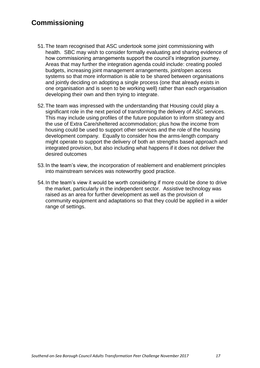## **Commissioning**

- 51.The team recognised that ASC undertook some joint commissioning with health. SBC may wish to consider formally evaluating and sharing evidence of how commissioning arrangements support the council's integration journey. Areas that may further the integration agenda could include: creating pooled budgets, increasing joint management arrangements, joint/open access systems so that more information is able to be shared between organisations and jointly deciding on adopting a single process (one that already exists in one organisation and is seen to be working well) rather than each organisation developing their own and then trying to integrate.
- 52.The team was impressed with the understanding that Housing could play a significant role in the next period of transforming the delivery of ASC services. This may include using profiles of the future population to inform strategy and the use of Extra Care/sheltered accommodation; plus how the income from housing could be used to support other services and the role of the housing development company. Equally to consider how the arms-length company might operate to support the delivery of both an strengths based approach and integrated provision, but also including what happens if it does not deliver the desired outcomes
- 53.In the team's view, the incorporation of reablement and enablement principles into mainstream services was noteworthy good practice.
- 54.In the team's view it would be worth considering if more could be done to drive the market, particularly in the independent sector. Assistive technology was raised as an area for further development as well as the provision of community equipment and adaptations so that they could be applied in a wider range of settings.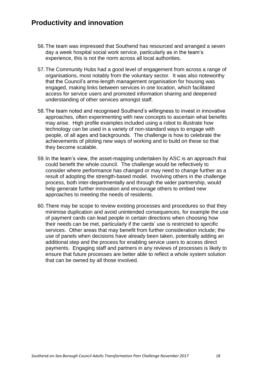#### **Productivity and innovation**

- 56.The team was impressed that Southend has resourced and arranged a seven day a week hospital social work service, particularly as in the team's experience, this is not the norm across all local authorities.
- 57.The Community Hubs had a good level of engagement from across a range of organisations, most notably from the voluntary sector. It was also noteworthy that the Council's arms-length management organisation for housing was engaged, making links between services in one location, which facilitated access for service users and promoted information sharing and deepened understanding of other services amongst staff.
- 58.The team noted and recognised Southend's willingness to invest in innovative approaches, often experimenting with new concepts to ascertain what benefits may arise. High profile examples included using a robot to illustrate how technology can be used in a variety of non-standard ways to engage with people, of all ages and backgrounds. The challenge is how to celebrate the achievements of piloting new ways of working and to build on these so that they become scalable.
- 59.In the team's view, the asset-mapping undertaken by ASC is an approach that could benefit the whole council. The challenge would be reflectively to consider where performance has changed or may need to change further as a result of adopting the strength-based model. Involving others in the challenge process, both inter-departmentally and through the wider partnership, would help generate further innovation and encourage others to embed new approaches to meeting the needs of residents.
- 60.There may be scope to review existing processes and procedures so that they minimise duplication and avoid unintended consequences, for example the use of payment cards can lead people in certain directions when choosing how their needs can be met, particularly if the cards' use is restricted to specific services. Other areas that may benefit from further consideration include; the use of panels when decisions have already been taken, potentially adding an additional step and the process for enabling service users to access direct payments. Engaging staff and partners in any reviews of processes is likely to ensure that future processes are better able to reflect a whole system solution that can be owned by all those involved.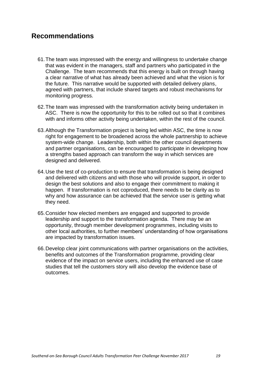#### **Recommendations**

- 61.The team was impressed with the energy and willingness to undertake change that was evident in the managers, staff and partners who participated in the Challenge. The team recommends that this energy is built on through having a clear narrative of what has already been achieved and what the vision is for the future. This narrative would be supported with detailed delivery plans, agreed with partners, that include shared targets and robust mechanisms for monitoring progress.
- 62.The team was impressed with the transformation activity being undertaken in ASC. There is now the opportunity for this to be rolled out so that it combines with and informs other activity being undertaken, within the rest of the council.
- 63.Although the Transformation project is being led within ASC, the time is now right for engagement to be broadened across the whole partnership to achieve system-wide change. Leadership, both within the other council departments and partner organisations, can be encouraged to participate in developing how a strengths based approach can transform the way in which services are designed and delivered.
- 64.Use the test of co-production to ensure that transformation is being designed and delivered with citizens and with those who will provide support, in order to design the best solutions and also to engage their commitment to making it happen. If transformation is not coproduced, there needs to be clarity as to why and how assurance can be achieved that the service user is getting what they need.
- 65.Consider how elected members are engaged and supported to provide leadership and support to the transformation agenda. There may be an opportunity, through member development programmes, including visits to other local authorities, to further members' understanding of how organisations are impacted by transformation issues.
- 66.Develop clear joint communications with partner organisations on the activities, benefits and outcomes of the Transformation programme, providing clear evidence of the impact on service users, including the enhanced use of case studies that tell the customers story will also develop the evidence base of outcomes.